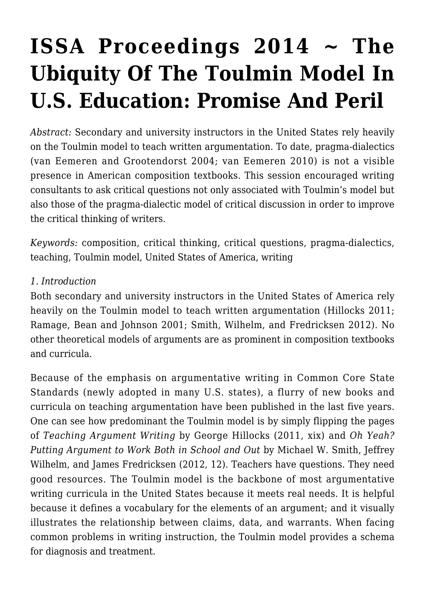# **[ISSA Proceedings 2014 ~ The](https://rozenbergquarterly.com/issa-proceedings-2014-the-ubiquity-of-the-toulmin-model-in-u-s-education-promise-and-peril/) [Ubiquity Of The Toulmin Model In](https://rozenbergquarterly.com/issa-proceedings-2014-the-ubiquity-of-the-toulmin-model-in-u-s-education-promise-and-peril/) [U.S. Education: Promise And Peril](https://rozenbergquarterly.com/issa-proceedings-2014-the-ubiquity-of-the-toulmin-model-in-u-s-education-promise-and-peril/)**

*Abstract:* Secondary and university instructors in the United States rely heavily on the Toulmin model to teach written argumentation. To date, pragma-dialectics (van Eemeren and Grootendorst 2004; van Eemeren 2010) is not a visible presence in American composition textbooks. This session encouraged writing consultants to ask critical questions not only associated with Toulmin's model but also those of the pragma-dialectic model of critical discussion in order to improve the critical thinking of writers.

*Keywords:* composition, critical thinking, critical questions, pragma-dialectics, teaching, Toulmin model, United States of America, writing

#### *1*. *Introduction*

Both secondary and university instructors in the United States of America rely heavily on the Toulmin model to teach written argumentation (Hillocks 2011: Ramage, Bean and Johnson 2001; Smith, Wilhelm, and Fredricksen 2012). No other theoretical models of arguments are as prominent in composition textbooks and curricula.

Because of the emphasis on argumentative writing in Common Core State Standards (newly adopted in many U.S. states), a flurry of new books and curricula on teaching argumentation have been published in the last five years. One can see how predominant the Toulmin model is by simply flipping the pages of *Teaching Argument Writing* by George Hillocks (2011, xix) and *Oh Yeah? Putting Argument to Work Both in School and Out* by Michael W. Smith, Jeffrey Wilhelm, and James Fredricksen (2012, 12). Teachers have questions. They need good resources. The Toulmin model is the backbone of most argumentative writing curricula in the United States because it meets real needs. It is helpful because it defines a vocabulary for the elements of an argument; and it visually illustrates the relationship between claims, data, and warrants. When facing common problems in writing instruction, the Toulmin model provides a schema for diagnosis and treatment.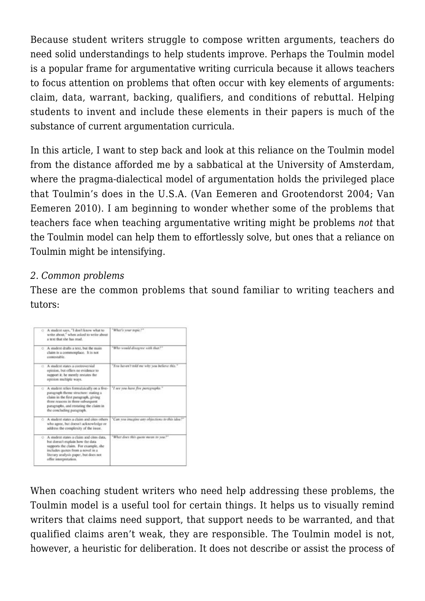Because student writers struggle to compose written arguments, teachers do need solid understandings to help students improve. Perhaps the Toulmin model is a popular frame for argumentative writing curricula because it allows teachers to focus attention on problems that often occur with key elements of arguments: claim, data, warrant, backing, qualifiers, and conditions of rebuttal. Helping students to invent and include these elements in their papers is much of the substance of current argumentation curricula.

In this article, I want to step back and look at this reliance on the Toulmin model from the distance afforded me by a sabbatical at the University of Amsterdam, where the pragma-dialectical model of argumentation holds the privileged place that Toulmin's does in the U.S.A. (Van Eemeren and Grootendorst 2004; Van Eemeren 2010). I am beginning to wonder whether some of the problems that teachers face when teaching argumentative writing might be problems *not* that the Toulmin model can help them to effortlessly solve, but ones that a reliance on Toulmin might be intensifying.

## *2. Common problems*

These are the common problems that sound familiar to writing teachers and tutors:

| O A student says, "I don't know what to<br>write about," when asked to write about<br>a text that she has read.                                                                                                                         | <sup>*</sup> What's your topic?"               |
|-----------------------------------------------------------------------------------------------------------------------------------------------------------------------------------------------------------------------------------------|------------------------------------------------|
| A student drafts a text, but the main<br>claim is a commonplace. It is not<br>contestable.                                                                                                                                              | "Who senald disagree with that.""              |
| O A student states a controversial<br>opinion, but offers no evidence to<br>support it; he merely restates the<br>opinion multiple ways.                                                                                                | "You haven't told me why you believe this."    |
| C A student relies formulaically on a five-<br>paragraph theme structure: stating a<br>claim in the first paragraph, giving<br>three reasons in three subsequent<br>paragraphs, and restating the claim in<br>the concluding paragraph. | "I see you have five paragraphs."              |
| ○ A student states a claim and cites others<br>who agree, but doesn't acknowledge or<br>address the complexity of the issue.                                                                                                            | "Can you imagine any objections to this idea?" |
| O A student states a claim and cites data.<br>but doesn't explain how the data.<br>supports the claim. For example, she<br>includes quotes from a novel in a<br>literary asalysis paper, but does not<br>offer interpretation.          | "What does this quote mean to you?"            |

When coaching student writers who need help addressing these problems, the Toulmin model is a useful tool for certain things. It helps us to visually remind writers that claims need support, that support needs to be warranted, and that qualified claims aren't weak, they are responsible. The Toulmin model is not, however, a heuristic for deliberation. It does not describe or assist the process of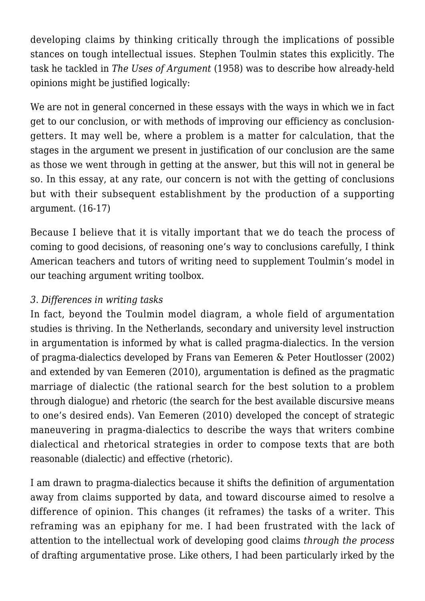developing claims by thinking critically through the implications of possible stances on tough intellectual issues. Stephen Toulmin states this explicitly. The task he tackled in *The Uses of Argument* (1958) was to describe how already-held opinions might be justified logically:

We are not in general concerned in these essays with the ways in which we in fact get to our conclusion, or with methods of improving our efficiency as conclusiongetters. It may well be, where a problem is a matter for calculation, that the stages in the argument we present in justification of our conclusion are the same as those we went through in getting at the answer, but this will not in general be so. In this essay, at any rate, our concern is not with the getting of conclusions but with their subsequent establishment by the production of a supporting argument. (16-17)

Because I believe that it is vitally important that we do teach the process of coming to good decisions, of reasoning one's way to conclusions carefully, I think American teachers and tutors of writing need to supplement Toulmin's model in our teaching argument writing toolbox.

## *3*. *Differences in writing tasks*

In fact, beyond the Toulmin model diagram, a whole field of argumentation studies is thriving. In the Netherlands, secondary and university level instruction in argumentation is informed by what is called pragma-dialectics. In the version of pragma-dialectics developed by Frans van Eemeren & Peter Houtlosser (2002) and extended by van Eemeren (2010), argumentation is defined as the pragmatic marriage of dialectic (the rational search for the best solution to a problem through dialogue) and rhetoric (the search for the best available discursive means to one's desired ends). Van Eemeren (2010) developed the concept of strategic maneuvering in pragma-dialectics to describe the ways that writers combine dialectical and rhetorical strategies in order to compose texts that are both reasonable (dialectic) and effective (rhetoric).

I am drawn to pragma-dialectics because it shifts the definition of argumentation away from claims supported by data, and toward discourse aimed to resolve a difference of opinion. This changes (it reframes) the tasks of a writer. This reframing was an epiphany for me. I had been frustrated with the lack of attention to the intellectual work of developing good claims *through the process* of drafting argumentative prose. Like others, I had been particularly irked by the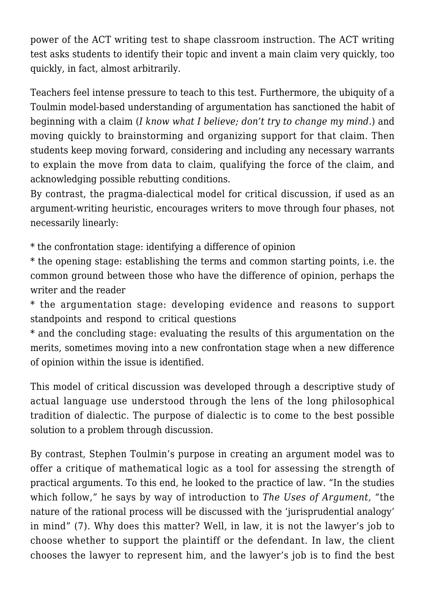power of the ACT writing test to shape classroom instruction. The ACT writing test asks students to identify their topic and invent a main claim very quickly, too quickly, in fact, almost arbitrarily.

Teachers feel intense pressure to teach to this test. Furthermore, the ubiquity of a Toulmin model-based understanding of argumentation has sanctioned the habit of beginning with a claim (*I know what I believe; don't try to change my mind*.) and moving quickly to brainstorming and organizing support for that claim. Then students keep moving forward, considering and including any necessary warrants to explain the move from data to claim, qualifying the force of the claim, and acknowledging possible rebutting conditions.

By contrast, the pragma-dialectical model for critical discussion, if used as an argument-writing heuristic, encourages writers to move through four phases, not necessarily linearly:

\* the confrontation stage: identifying a difference of opinion

\* the opening stage: establishing the terms and common starting points, i.e. the common ground between those who have the difference of opinion, perhaps the writer and the reader

\* the argumentation stage: developing evidence and reasons to support standpoints and respond to critical questions

\* and the concluding stage: evaluating the results of this argumentation on the merits, sometimes moving into a new confrontation stage when a new difference of opinion within the issue is identified.

This model of critical discussion was developed through a descriptive study of actual language use understood through the lens of the long philosophical tradition of dialectic. The purpose of dialectic is to come to the best possible solution to a problem through discussion.

By contrast, Stephen Toulmin's purpose in creating an argument model was to offer a critique of mathematical logic as a tool for assessing the strength of practical arguments. To this end, he looked to the practice of law. "In the studies which follow," he says by way of introduction to *The Uses of Argument, "*the nature of the rational process will be discussed with the 'jurisprudential analogy' in mind" (7). Why does this matter? Well, in law, it is not the lawyer's job to choose whether to support the plaintiff or the defendant. In law, the client chooses the lawyer to represent him, and the lawyer's job is to find the best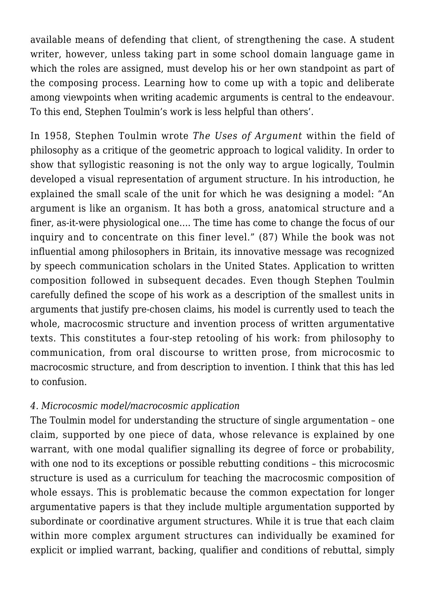available means of defending that client, of strengthening the case. A student writer, however, unless taking part in some school domain language game in which the roles are assigned, must develop his or her own standpoint as part of the composing process. Learning how to come up with a topic and deliberate among viewpoints when writing academic arguments is central to the endeavour. To this end, Stephen Toulmin's work is less helpful than others'.

In 1958, Stephen Toulmin wrote *The Uses of Argument* within the field of philosophy as a critique of the geometric approach to logical validity. In order to show that syllogistic reasoning is not the only way to argue logically, Toulmin developed a visual representation of argument structure. In his introduction, he explained the small scale of the unit for which he was designing a model: "An argument is like an organism. It has both a gross, anatomical structure and a finer, as-it-were physiological one…. The time has come to change the focus of our inquiry and to concentrate on this finer level." (87) While the book was not influential among philosophers in Britain, its innovative message was recognized by speech communication scholars in the United States. Application to written composition followed in subsequent decades. Even though Stephen Toulmin carefully defined the scope of his work as a description of the smallest units in arguments that justify pre-chosen claims, his model is currently used to teach the whole, macrocosmic structure and invention process of written argumentative texts. This constitutes a four-step retooling of his work: from philosophy to communication, from oral discourse to written prose, from microcosmic to macrocosmic structure, and from description to invention. I think that this has led to confusion.

#### *4. Microcosmic model/macrocosmic application*

The Toulmin model for understanding the structure of single argumentation – one claim, supported by one piece of data, whose relevance is explained by one warrant, with one modal qualifier signalling its degree of force or probability, with one nod to its exceptions or possible rebutting conditions - this microcosmic structure is used as a curriculum for teaching the macrocosmic composition of whole essays. This is problematic because the common expectation for longer argumentative papers is that they include multiple argumentation supported by subordinate or coordinative argument structures. While it is true that each claim within more complex argument structures can individually be examined for explicit or implied warrant, backing, qualifier and conditions of rebuttal, simply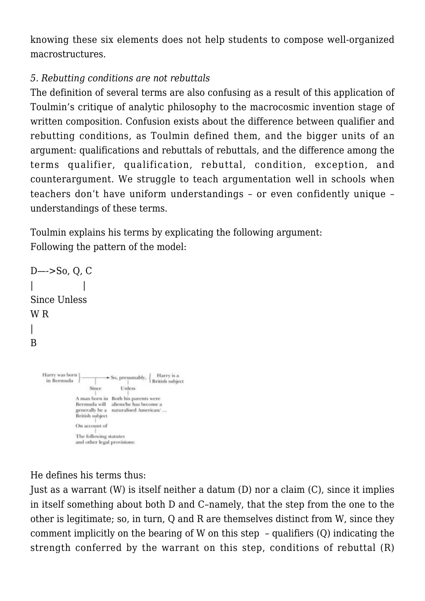knowing these six elements does not help students to compose well-organized macrostructures.

## *5. Rebutting conditions are not rebuttals*

The definition of several terms are also confusing as a result of this application of Toulmin's critique of analytic philosophy to the macrocosmic invention stage of written composition. Confusion exists about the difference between qualifier and rebutting conditions, as Toulmin defined them, and the bigger units of an argument: qualifications and rebuttals of rebuttals, and the difference among the terms qualifier, qualification, rebuttal, condition, exception, and counterargument. We struggle to teach argumentation well in schools when teachers don't have uniform understandings – or even confidently unique – understandings of these terms.

Toulmin explains his terms by explicating the following argument: Following the pattern of the model:

```
D—->So, Q, C
| |
Since Unless
W R
|
B
                            \rightarrow So, presumably, \left\{\begin{array}{c} Harry is a
     Harry was born 1
      in Bermuda
                       \rm SinceUnless
                  A man born in Both his parents were
                  Bermuda will aliens/he has become a
                  generally be a naturalised American/...
                  British subject
                 On account of
                 The following statutes
                  and other legal provisions:
```
He defines his terms thus:

Just as a warrant (W) is itself neither a datum (D) nor a claim (C), since it implies in itself something about both D and C–namely, that the step from the one to the other is legitimate; so, in turn, Q and R are themselves distinct from W, since they comment implicitly on the bearing of W on this step – qualifiers (Q) indicating the strength conferred by the warrant on this step, conditions of rebuttal (R)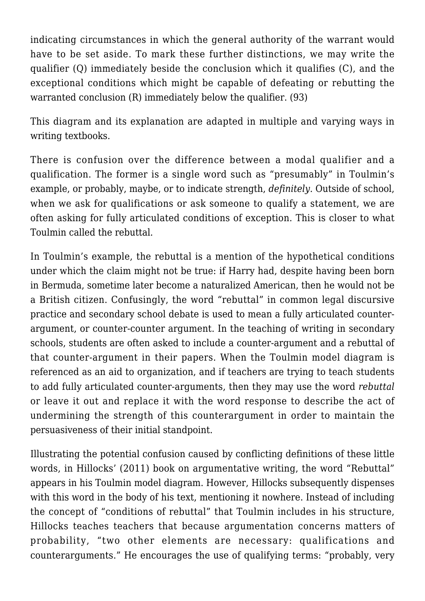indicating circumstances in which the general authority of the warrant would have to be set aside. To mark these further distinctions, we may write the qualifier (Q) immediately beside the conclusion which it qualifies (C), and the exceptional conditions which might be capable of defeating or rebutting the warranted conclusion (R) immediately below the qualifier. (93)

This diagram and its explanation are adapted in multiple and varying ways in writing textbooks.

There is confusion over the difference between a modal qualifier and a qualification. The former is a single word such as "presumably" in Toulmin's example, or probably, maybe, or to indicate strength, *definitely*. Outside of school, when we ask for qualifications or ask someone to qualify a statement, we are often asking for fully articulated conditions of exception. This is closer to what Toulmin called the rebuttal.

In Toulmin's example, the rebuttal is a mention of the hypothetical conditions under which the claim might not be true: if Harry had, despite having been born in Bermuda, sometime later become a naturalized American, then he would not be a British citizen. Confusingly, the word "rebuttal" in common legal discursive practice and secondary school debate is used to mean a fully articulated counterargument, or counter-counter argument. In the teaching of writing in secondary schools, students are often asked to include a counter-argument and a rebuttal of that counter-argument in their papers. When the Toulmin model diagram is referenced as an aid to organization, and if teachers are trying to teach students to add fully articulated counter-arguments, then they may use the word *rebuttal* or leave it out and replace it with the word response to describe the act of undermining the strength of this counterargument in order to maintain the persuasiveness of their initial standpoint.

Illustrating the potential confusion caused by conflicting definitions of these little words, in Hillocks' (2011) book on argumentative writing, the word "Rebuttal" appears in his Toulmin model diagram. However, Hillocks subsequently dispenses with this word in the body of his text, mentioning it nowhere. Instead of including the concept of "conditions of rebuttal" that Toulmin includes in his structure, Hillocks teaches teachers that because argumentation concerns matters of probability, "two other elements are necessary: qualifications and counterarguments." He encourages the use of qualifying terms: "probably, very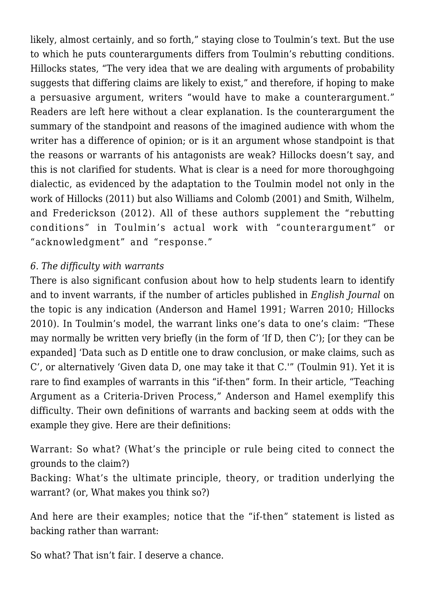likely, almost certainly, and so forth," staying close to Toulmin's text. But the use to which he puts counterarguments differs from Toulmin's rebutting conditions. Hillocks states, "The very idea that we are dealing with arguments of probability suggests that differing claims are likely to exist," and therefore, if hoping to make a persuasive argument, writers "would have to make a counterargument." Readers are left here without a clear explanation. Is the counterargument the summary of the standpoint and reasons of the imagined audience with whom the writer has a difference of opinion; or is it an argument whose standpoint is that the reasons or warrants of his antagonists are weak? Hillocks doesn't say, and this is not clarified for students. What is clear is a need for more thoroughgoing dialectic, as evidenced by the adaptation to the Toulmin model not only in the work of Hillocks (2011) but also Williams and Colomb (2001) and Smith, Wilhelm, and Frederickson (2012). All of these authors supplement the "rebutting conditions" in Toulmin's actual work with "counterargument" or "acknowledgment" and "response."

#### *6. The difficulty with warrants*

There is also significant confusion about how to help students learn to identify and to invent warrants, if the number of articles published in *English Journal* on the topic is any indication (Anderson and Hamel 1991; Warren 2010; Hillocks 2010). In Toulmin's model, the warrant links one's data to one's claim: "These may normally be written very briefly (in the form of 'If D, then C'); [or they can be expanded] 'Data such as D entitle one to draw conclusion, or make claims, such as C', or alternatively 'Given data D, one may take it that C.'" (Toulmin 91). Yet it is rare to find examples of warrants in this "if-then" form. In their article, "Teaching Argument as a Criteria-Driven Process," Anderson and Hamel exemplify this difficulty. Their own definitions of warrants and backing seem at odds with the example they give. Here are their definitions:

Warrant: So what? (What's the principle or rule being cited to connect the grounds to the claim?)

Backing: What's the ultimate principle, theory, or tradition underlying the warrant? (or, What makes you think so?)

And here are their examples; notice that the "if-then" statement is listed as backing rather than warrant:

So what? That isn't fair. I deserve a chance.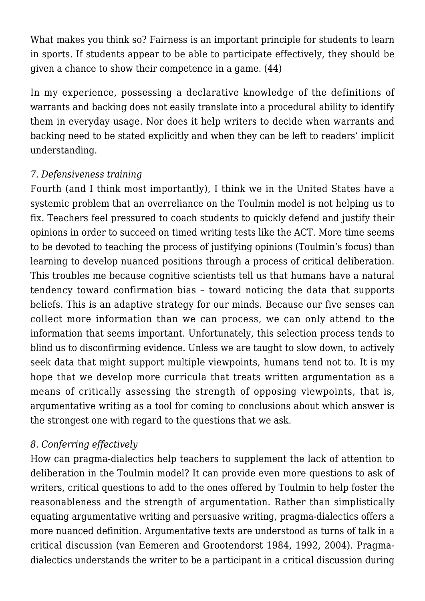What makes you think so? Fairness is an important principle for students to learn in sports. If students appear to be able to participate effectively, they should be given a chance to show their competence in a game. (44)

In my experience, possessing a declarative knowledge of the definitions of warrants and backing does not easily translate into a procedural ability to identify them in everyday usage. Nor does it help writers to decide when warrants and backing need to be stated explicitly and when they can be left to readers' implicit understanding.

## *7. Defensiveness training*

Fourth (and I think most importantly), I think we in the United States have a systemic problem that an overreliance on the Toulmin model is not helping us to fix. Teachers feel pressured to coach students to quickly defend and justify their opinions in order to succeed on timed writing tests like the ACT. More time seems to be devoted to teaching the process of justifying opinions (Toulmin's focus) than learning to develop nuanced positions through a process of critical deliberation. This troubles me because cognitive scientists tell us that humans have a natural tendency toward confirmation bias – toward noticing the data that supports beliefs. This is an adaptive strategy for our minds. Because our five senses can collect more information than we can process, we can only attend to the information that seems important. Unfortunately, this selection process tends to blind us to disconfirming evidence. Unless we are taught to slow down, to actively seek data that might support multiple viewpoints, humans tend not to. It is my hope that we develop more curricula that treats written argumentation as a means of critically assessing the strength of opposing viewpoints, that is, argumentative writing as a tool for coming to conclusions about which answer is the strongest one with regard to the questions that we ask.

## *8*. *Conferring effectively*

How can pragma-dialectics help teachers to supplement the lack of attention to deliberation in the Toulmin model? It can provide even more questions to ask of writers, critical questions to add to the ones offered by Toulmin to help foster the reasonableness and the strength of argumentation. Rather than simplistically equating argumentative writing and persuasive writing, pragma-dialectics offers a more nuanced definition. Argumentative texts are understood as turns of talk in a critical discussion (van Eemeren and Grootendorst 1984, 1992, 2004). Pragmadialectics understands the writer to be a participant in a critical discussion during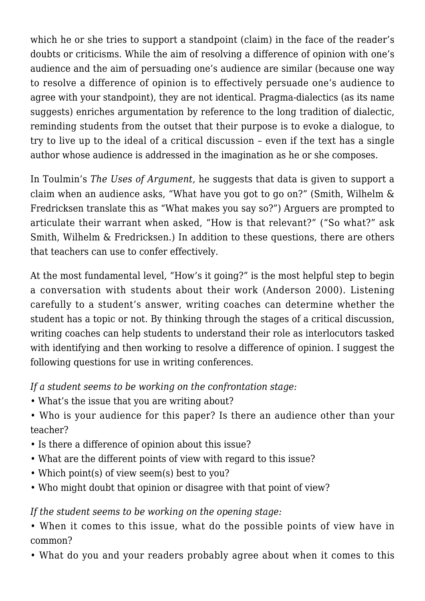which he or she tries to support a standpoint (claim) in the face of the reader's doubts or criticisms. While the aim of resolving a difference of opinion with one's audience and the aim of persuading one's audience are similar (because one way to resolve a difference of opinion is to effectively persuade one's audience to agree with your standpoint), they are not identical. Pragma-dialectics (as its name suggests) enriches argumentation by reference to the long tradition of dialectic, reminding students from the outset that their purpose is to evoke a dialogue, to try to live up to the ideal of a critical discussion – even if the text has a single author whose audience is addressed in the imagination as he or she composes.

In Toulmin's *The Uses of Argument,* he suggests that data is given to support a claim when an audience asks, "What have you got to go on?" (Smith, Wilhelm & Fredricksen translate this as "What makes you say so?") Arguers are prompted to articulate their warrant when asked, "How is that relevant?" ("So what?" ask Smith, Wilhelm & Fredricksen.) In addition to these questions, there are others that teachers can use to confer effectively.

At the most fundamental level, "How's it going?" is the most helpful step to begin a conversation with students about their work (Anderson 2000). Listening carefully to a student's answer, writing coaches can determine whether the student has a topic or not. By thinking through the stages of a critical discussion, writing coaches can help students to understand their role as interlocutors tasked with identifying and then working to resolve a difference of opinion. I suggest the following questions for use in writing conferences.

*If a student seems to be working on the confrontation stage:*

- What's the issue that you are writing about?
- Who is your audience for this paper? Is there an audience other than your teacher?
- Is there a difference of opinion about this issue?
- What are the different points of view with regard to this issue?
- Which point(s) of view seem(s) best to you?
- Who might doubt that opinion or disagree with that point of view?

*If the student seems to be working on the opening stage:*

• When it comes to this issue, what do the possible points of view have in common?

• What do you and your readers probably agree about when it comes to this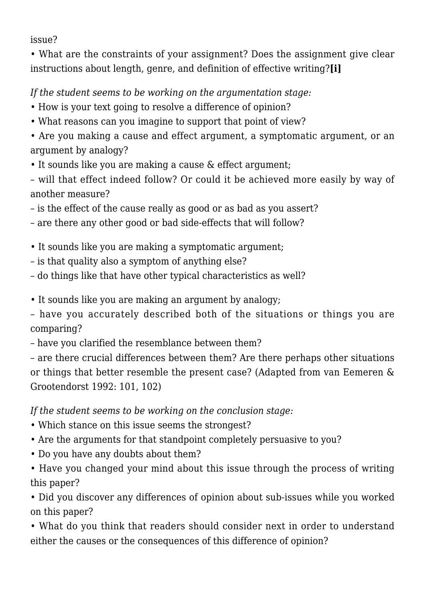issue?

• What are the constraints of your assignment? Does the assignment give clear instructions about length, genre, and definition of effective writing?**[i]**

*If the student seems to be working on the argumentation stage:*

- How is your text going to resolve a difference of opinion?
- What reasons can you imagine to support that point of view?

• Are you making a cause and effect argument, a symptomatic argument, or an argument by analogy?

• It sounds like you are making a cause & effect argument;

– will that effect indeed follow? Or could it be achieved more easily by way of another measure?

– is the effect of the cause really as good or as bad as you assert?

– are there any other good or bad side-effects that will follow?

- It sounds like you are making a symptomatic argument;
- is that quality also a symptom of anything else?
- do things like that have other typical characteristics as well?

• It sounds like you are making an argument by analogy;

– have you accurately described both of the situations or things you are comparing?

– have you clarified the resemblance between them?

– are there crucial differences between them? Are there perhaps other situations or things that better resemble the present case? (Adapted from van Eemeren & Grootendorst 1992: 101, 102)

*If the student seems to be working on the conclusion stage:*

- Which stance on this issue seems the strongest?
- Are the arguments for that standpoint completely persuasive to you?
- Do you have any doubts about them?
- Have you changed your mind about this issue through the process of writing this paper?

• Did you discover any differences of opinion about sub-issues while you worked on this paper?

• What do you think that readers should consider next in order to understand either the causes or the consequences of this difference of opinion?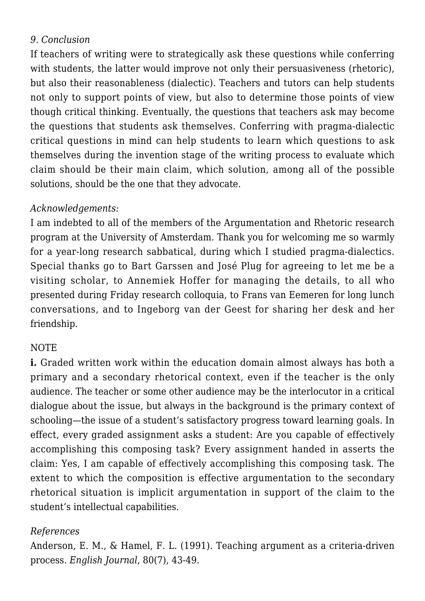## *9*. *Conclusion*

If teachers of writing were to strategically ask these questions while conferring with students, the latter would improve not only their persuasiveness (rhetoric). but also their reasonableness (dialectic). Teachers and tutors can help students not only to support points of view, but also to determine those points of view though critical thinking. Eventually, the questions that teachers ask may become the questions that students ask themselves. Conferring with pragma-dialectic critical questions in mind can help students to learn which questions to ask themselves during the invention stage of the writing process to evaluate which claim should be their main claim, which solution, among all of the possible solutions, should be the one that they advocate.

#### *Acknowledgements:*

I am indebted to all of the members of the Argumentation and Rhetoric research program at the University of Amsterdam. Thank you for welcoming me so warmly for a year-long research sabbatical, during which I studied pragma-dialectics. Special thanks go to Bart Garssen and José Plug for agreeing to let me be a visiting scholar, to Annemiek Hoffer for managing the details, to all who presented during Friday research colloquia, to Frans van Eemeren for long lunch conversations, and to Ingeborg van der Geest for sharing her desk and her friendship.

#### **NOTE**

**i.** Graded written work within the education domain almost always has both a primary and a secondary rhetorical context, even if the teacher is the only audience. The teacher or some other audience may be the interlocutor in a critical dialogue about the issue, but always in the background is the primary context of schooling—the issue of a student's satisfactory progress toward learning goals. In effect, every graded assignment asks a student: Are you capable of effectively accomplishing this composing task? Every assignment handed in asserts the claim: Yes, I am capable of effectively accomplishing this composing task. The extent to which the composition is effective argumentation to the secondary rhetorical situation is implicit argumentation in support of the claim to the student's intellectual capabilities.

#### *References*

Anderson, E. M., & Hamel, F. L. (1991). Teaching argument as a criteria-driven process. *English Journal*, 80(7), 43-49.